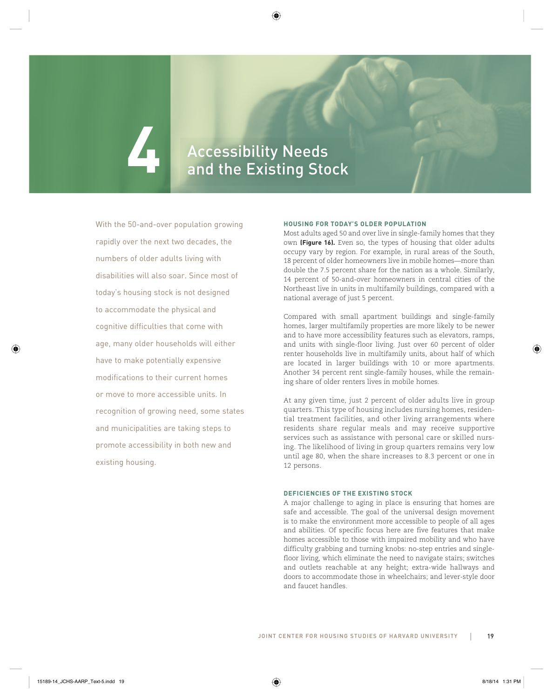# **4 Accessibility Needs**<br>Accessibility Needs and the Existing Stock

With the 50-and-over population growing rapidly over the next two decades, the numbers of older adults living with disabilities will also soar. Since most of today's housing stock is not designed to accommodate the physical and cognitive difficulties that come with age, many older households will either have to make potentially expensive modifications to their current homes or move to more accessible units. In recognition of growing need, some states and municipalities are taking steps to promote accessibility in both new and existing housing.

#### **HOUSING FOR TODAY'S OLDER POPULATION**

Most adults aged 50 and over live in single-family homes that they own **(Figure 16).** Even so, the types of housing that older adults occupy vary by region. For example, in rural areas of the South, 18 percent of older homeowners live in mobile homes—more than double the 7.5 percent share for the nation as a whole. Similarly, 14 percent of 50-and-over homeowners in central cities of the Northeast live in units in multifamily buildings, compared with a national average of just 5 percent.

Compared with small apartment buildings and single-family homes, larger multifamily properties are more likely to be newer and to have more accessibility features such as elevators, ramps, and units with single-floor living. Just over 60 percent of older renter households live in multifamily units, about half of which are located in larger buildings with 10 or more apartments. Another 34 percent rent single-family houses, while the remaining share of older renters lives in mobile homes.

At any given time, just 2 percent of older adults live in group quarters. This type of housing includes nursing homes, residential treatment facilities, and other living arrangements where residents share regular meals and may receive supportive services such as assistance with personal care or skilled nursing. The likelihood of living in group quarters remains very low until age 80, when the share increases to 8.3 percent or one in 12 persons.

# **DEFICIENCIES OF THE EXISTING STOCK**

A major challenge to aging in place is ensuring that homes are safe and accessible. The goal of the universal design movement is to make the environment more accessible to people of all ages and abilities. Of specific focus here are five features that make homes accessible to those with impaired mobility and who have difficulty grabbing and turning knobs: no-step entries and singlefloor living, which eliminate the need to navigate stairs; switches and outlets reachable at any height; extra-wide hallways and doors to accommodate those in wheelchairs; and lever-style door and faucet handles.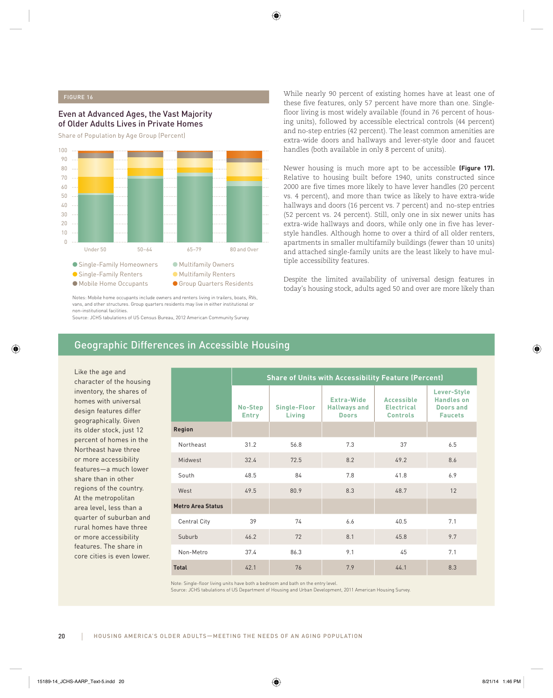# FIGURE 16

# Even at Advanced Ages, the Vast Majority of Older Adults Lives in Private Homes

Share of Population by Age Group (Percent)



Notes: Mobile home occupants include owners and renters living in trailers, boats, RVs, vans, and other structures. Group quarters residents may live in either institutional or non-institutional facilities.

Source: JCHS tabulations of US Census Bureau, 2012 American Community Survey.

# Geographic Differences in Accessible Housing

Like the age and character of the housing inventory, the shares of homes with universal design features differ geographically. Given its older stock, just 12 percent of homes in the Northeast have three or more accessibility features—a much lower share than in other regions of the country. At the metropolitan area level, less than a quarter of suburban and rural homes have three or more accessibility features. The share in core cities is even lower. While nearly 90 percent of existing homes have at least one of these five features, only 57 percent have more than one. Singlefloor living is most widely available (found in 76 percent of housing units), followed by accessible electrical controls (44 percent) and no-step entries (42 percent). The least common amenities are extra-wide doors and hallways and lever-style door and faucet handles (both available in only 8 percent of units).

Newer housing is much more apt to be accessible **(Figure 17).** Relative to housing built before 1940, units constructed since 2000 are five times more likely to have lever handles (20 percent vs. 4 percent), and more than twice as likely to have extra-wide hallways and doors (16 percent vs. 7 percent) and no-step entries (52 percent vs. 24 percent). Still, only one in six newer units has extra-wide hallways and doors, while only one in five has leverstyle handles. Although home to over a third of all older renters, apartments in smaller multifamily buildings (fewer than 10 units) and attached single-family units are the least likely to have multiple accessibility features.

Despite the limited availability of universal design features in today's housing stock, adults aged 50 and over are more likely than

|                          | <b>Share of Units with Accessibility Feature (Percent)</b> |                        |                                                   |                                                           |                                                                 |
|--------------------------|------------------------------------------------------------|------------------------|---------------------------------------------------|-----------------------------------------------------------|-----------------------------------------------------------------|
|                          | No-Step<br><b>Entry</b>                                    | Single-Floor<br>Living | Extra-Wide<br><b>Hallways and</b><br><b>Doors</b> | <b>Accessible</b><br><b>Electrical</b><br><b>Controls</b> | Lever-Style<br><b>Handles on</b><br>Doors and<br><b>Faucets</b> |
| Region                   |                                                            |                        |                                                   |                                                           |                                                                 |
| Northeast                | 31.2                                                       | 56.8                   | 7.3                                               | 37                                                        | 6.5                                                             |
| Midwest                  | 32.4                                                       | 72.5                   | 8.2                                               | 49.2                                                      | 8.6                                                             |
| South                    | 48.5                                                       | 84                     | 7.8                                               | 41.8                                                      | 6.9                                                             |
| West                     | 49.5                                                       | 80.9                   | 8.3                                               | 48.7                                                      | 12                                                              |
| <b>Metro Area Status</b> |                                                            |                        |                                                   |                                                           |                                                                 |
| <b>Central City</b>      | 39                                                         | 74                     | 6.6                                               | 40.5                                                      | 7.1                                                             |
| Suburb                   | 46.2                                                       | 72                     | 8.1                                               | 45.8                                                      | 9.7                                                             |
| Non-Metro                | 37.4                                                       | 86.3                   | 9.1                                               | 45                                                        | 7.1                                                             |
| <b>Total</b>             | 42.1                                                       | 76                     | 7.9                                               | 44.1                                                      | 8.3                                                             |

Note: Single-floor living units have both a bedroom and bath on the entry level.

Source: JCHS tabulations of US Department of Housing and Urban Development, 2011 American Housing Survey.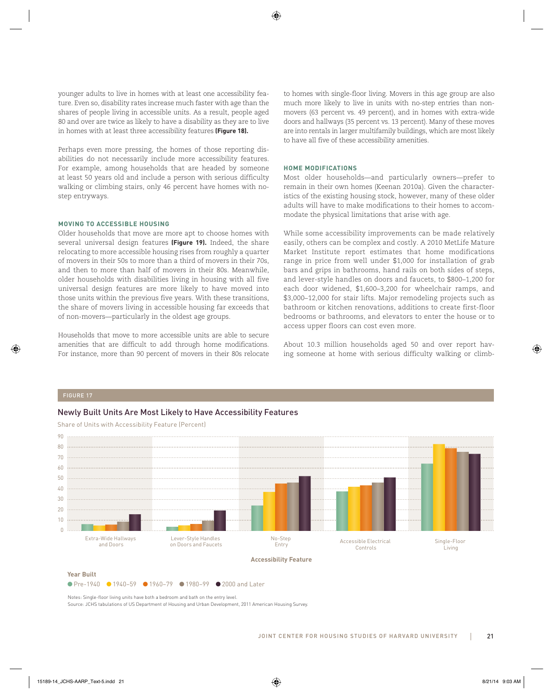younger adults to live in homes with at least one accessibility feature. Even so, disability rates increase much faster with age than the shares of people living in accessible units. As a result, people aged 80 and over are twice as likely to have a disability as they are to live in homes with at least three accessibility features **(Figure 18).**

Perhaps even more pressing, the homes of those reporting disabilities do not necessarily include more accessibility features. For example, among households that are headed by someone at least 50 years old and include a person with serious difficulty walking or climbing stairs, only 46 percent have homes with nostep entryways.

#### **MOVING TO ACCESSIBLE HOUSING**

Older households that move are more apt to choose homes with several universal design features **(Figure 19).** Indeed, the share relocating to more accessible housing rises from roughly a quarter of movers in their 50s to more than a third of movers in their 70s, and then to more than half of movers in their 80s. Meanwhile, older households with disabilities living in housing with all five universal design features are more likely to have moved into those units within the previous five years. With these transitions, the share of movers living in accessible housing far exceeds that of non-movers—particularly in the oldest age groups.

Households that move to more accessible units are able to secure amenities that are difficult to add through home modifications. For instance, more than 90 percent of movers in their 80s relocate to homes with single-floor living. Movers in this age group are also much more likely to live in units with no-step entries than nonmovers (63 percent vs. 49 percent), and in homes with extra-wide doors and hallways (35 percent vs. 13 percent). Many of these moves are into rentals in larger multifamily buildings, which are most likely to have all five of these accessibility amenities.

# **HOME MODIFICATIONS**

Most older households—and particularly owners—prefer to remain in their own homes (Keenan 2010a). Given the characteristics of the existing housing stock, however, many of these older adults will have to make modifications to their homes to accommodate the physical limitations that arise with age.

While some accessibility improvements can be made relatively easily, others can be complex and costly. A 2010 MetLife Mature Market Institute report estimates that home modifications range in price from well under \$1,000 for installation of grab bars and grips in bathrooms, hand rails on both sides of steps, and lever-style handles on doors and faucets, to \$800–1,200 for each door widened, \$1,600–3,200 for wheelchair ramps, and \$3,000–12,000 for stair lifts. Major remodeling projects such as bathroom or kitchen renovations, additions to create first-floor bedrooms or bathrooms, and elevators to enter the house or to access upper floors can cost even more.

About 10.3 million households aged 50 and over report having someone at home with serious difficulty walking or climb-

# FIGURE 17

# Newly Built Units Are Most Likely to Have Accessibility Features



Share of Units with Accessibility Feature (Percent)

**Year Built**

● Pre-1940 ● 1940–59 ● 1960–79 ● 1980–99 ● 2000 and Later

Notes: Single-floor living units have both a bedroom and bath on the entry level.

Source: JCHS tabulations of US Department of Housing and Urban Development, 2011 American Housing Survey.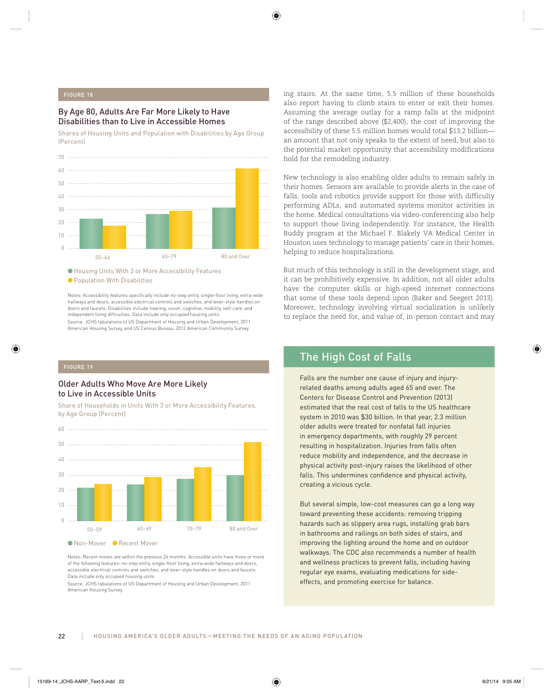# FIGURE 18

# By Age 80, Adults Are Far More Likely to Have Disabilities than to Live in Accessible Homes

Shares of Housing Units and Population with Disabilities by Age Group (Percent)



● Housing Units With 3 or More Accessibility Features

● Population With Disabilities

Notes: Accessibility features specifically include no-step entry, single-floor living, extra-wide hallways and doors, accessible electrical controls and switches, and lever-style handles on doors and faucets. Disabilities include hearing, vision, cognitive, mobility, self-care, and independent living difficulties. Data include only occupied housing units. Source: JCHS tabulations of US Department of Housing and Urban Development, 2011 American Housing Survey, and US Census Bureau, 2012 American Community Survey.

# Older Adults Who Move Are More Likely to Live in Accessible Units

Share of Households in Units With 3 or More Accessibility Features, by Age Group (Percent)



Notes: Recent moves are within the previous 24 months. Accessible units have three or more of the following features: no-step entry, single-floor living, extra-wide hallways and doors, accessible electrical controls and switches, and lever-style handles on doors and faucets. Data include only occupied housing units.

Source: JCHS tabulations of US Department of Housing and Urban Development, 2011 American Housing Survey.

ing stairs. At the same time, 5.5 million of these households also report having to climb stairs to enter or exit their homes. Assuming the average outlay for a ramp falls at the midpoint of the range described above (\$2,400), the cost of improving the accessibility of these 5.5 million homes would total \$13.2 billion an amount that not only speaks to the extent of need, but also to the potential market opportunity that accessibility modifications hold for the remodeling industry.

New technology is also enabling older adults to remain safely in their homes. Sensors are available to provide alerts in the case of falls, tools and robotics provide support for those with difficulty performing ADLs, and automated systems monitor activities in the home. Medical consultations via video-conferencing also help to support those living independently. For instance, the Health Buddy program at the Michael F. Blakely VA Medical Center in Houston uses technology to manage patients' care in their homes, helping to reduce hospitalizations.

But much of this technology is still in the development stage, and it can be prohibitively expensive. In addition, not all older adults have the computer skills or high-speed internet connections that some of these tools depend upon (Baker and Seegert 2013). Moreover, technology involving virtual socialization is unlikely to replace the need for, and value of, in-person contact and may

# The High Cost of Falls

Falls are the number one cause of injury and injuryrelated deaths among adults aged 65 and over. The Centers for Disease Control and Prevention (2013) estimated that the real cost of falls to the US healthcare system in 2010 was \$30 billion. In that year, 2.3 million older adults were treated for nonfatal fall injuries in emergency departments, with roughly 29 percent resulting in hospitalization. Injuries from falls often reduce mobility and independence, and the decrease in physical activity post-injury raises the likelihood of other falls. This undermines confidence and physical activity, creating a vicious cycle.

But several simple, low-cost measures can go a long way toward preventing these accidents: removing tripping hazards such as slippery area rugs, installing grab bars in bathrooms and railings on both sides of stairs, and improving the lighting around the home and on outdoor walkways. The CDC also recommends a number of health and wellness practices to prevent falls, including having regular eye exams, evaluating medications for sideeffects, and promoting exercise for balance.